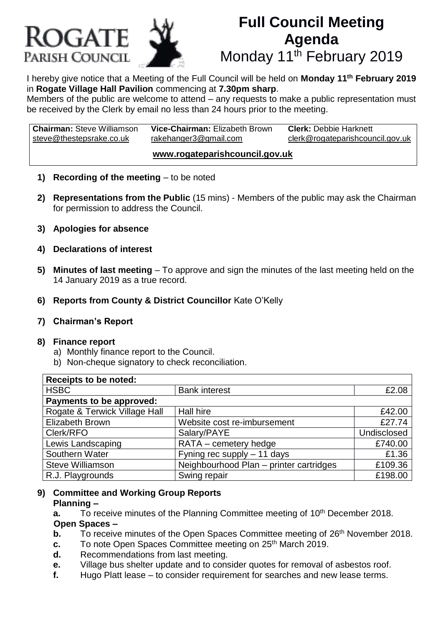

# **Full Council Meeting Agenda** Monday 11<sup>th</sup> February 2019

I hereby give notice that a Meeting of the Full Council will be held on **Monday 11th February 2019** in **Rogate Village Hall Pavilion** commencing at **7.30pm sharp**.

Members of the public are welcome to attend – any requests to make a public representation must be received by the Clerk by email no less than 24 hours prior to the meeting.

**Chairman:** Steve Williamson **Vice-Chairman:** Elizabeth Brown **Clerk:** Debbie Harknett steve@thestepsrake.co.uk rakehanger3@gmail.com clerk@rogateparishcouncil.gov.uk **www.rogateparishcouncil.gov.uk**

- **1) Recording of the meeting** to be noted
- **2) Representations from the Public** (15 mins) Members of the public may ask the Chairman for permission to address the Council.
- **3) Apologies for absence**
- **4) Declarations of interest**
- **5) Minutes of last meeting** To approve and sign the minutes of the last meeting held on the 14 January 2019 as a true record.
- **6) Reports from County & District Councillor** Kate O'Kelly
- **7) Chairman's Report**

#### **8) Finance report**

- a) Monthly finance report to the Council.
- b) Non-cheque signatory to check reconciliation.

| <b>Receipts to be noted:</b>  |                                         |             |
|-------------------------------|-----------------------------------------|-------------|
| <b>HSBC</b>                   | <b>Bank interest</b>                    | £2.08       |
| Payments to be approved:      |                                         |             |
| Rogate & Terwick Village Hall | Hall hire                               | £42.00      |
| <b>Elizabeth Brown</b>        | Website cost re-imbursement             | £27.74      |
| Clerk/RFO                     | Salary/PAYE                             | Undisclosed |
| Lewis Landscaping             | RATA - cemetery hedge                   | £740.00     |
| Southern Water                | Fyning rec supply $-11$ days            | £1.36       |
| <b>Steve Williamson</b>       | Neighbourhood Plan - printer cartridges | £109.36     |
| R.J. Playgrounds              | Swing repair                            | £198.00     |

#### **9) Committee and Working Group Reports Planning –**

- **a.** To receive minutes of the Planning Committee meeting of 10<sup>th</sup> December 2018. **Open Spaces –**
- **b.** To receive minutes of the Open Spaces Committee meeting of 26<sup>th</sup> November 2018.
- **c.** To note Open Spaces Committee meeting on 25<sup>th</sup> March 2019.
- **d.** Recommendations from last meeting.
- **e.** Village bus shelter update and to consider quotes for removal of asbestos roof.
- **f.** Hugo Platt lease to consider requirement for searches and new lease terms.